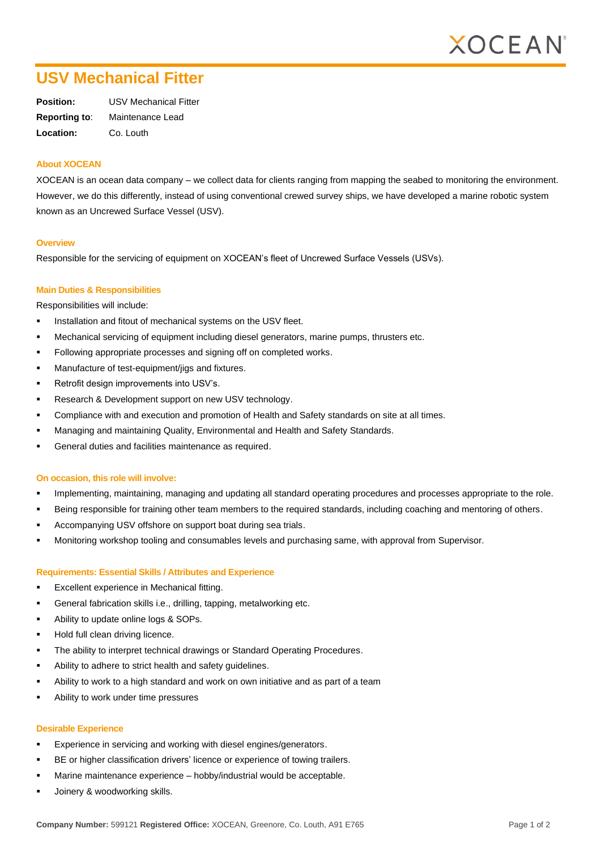

# **USV Mechanical Fitter**

| Position:            | <b>USV Mechanical Fitter</b> |
|----------------------|------------------------------|
| <b>Reporting to:</b> | Maintenance Lead             |
| Location:            | Co. Louth                    |

#### **About XOCEAN**

XOCEAN is an ocean data company – we collect data for clients ranging from mapping the seabed to monitoring the environment. However, we do this differently, instead of using conventional crewed survey ships, we have developed a marine robotic system known as an Uncrewed Surface Vessel (USV).

#### **Overview**

Responsible for the servicing of equipment on XOCEAN's fleet of Uncrewed Surface Vessels (USVs).

### **Main Duties & Responsibilities**

Responsibilities will include:

- Installation and fitout of mechanical systems on the USV fleet.
- Mechanical servicing of equipment including diesel generators, marine pumps, thrusters etc.
- Following appropriate processes and signing off on completed works.
- Manufacture of test-equipment/jigs and fixtures.
- Retrofit design improvements into USV's.
- Research & Development support on new USV technology.
- Compliance with and execution and promotion of Health and Safety standards on site at all times.
- Managing and maintaining Quality, Environmental and Health and Safety Standards.
- General duties and facilities maintenance as required.

#### **On occasion, this role will involve:**

- Implementing, maintaining, managing and updating all standard operating procedures and processes appropriate to the role.
- Being responsible for training other team members to the required standards, including coaching and mentoring of others.
- Accompanying USV offshore on support boat during sea trials.
- Monitoring workshop tooling and consumables levels and purchasing same, with approval from Supervisor.

#### **Requirements: Essential Skills / Attributes and Experience**

- Excellent experience in Mechanical fitting.
- General fabrication skills i.e., drilling, tapping, metalworking etc.
- Ability to update online logs & SOPs.
- Hold full clean driving licence.
- The ability to interpret technical drawings or Standard Operating Procedures.
- Ability to adhere to strict health and safety guidelines.
- Ability to work to a high standard and work on own initiative and as part of a team
- Ability to work under time pressures

#### **Desirable Experience**

- Experience in servicing and working with diesel engines/generators.
- BE or higher classification drivers' licence or experience of towing trailers.
- Marine maintenance experience hobby/industrial would be acceptable.
- Joinery & woodworking skills.